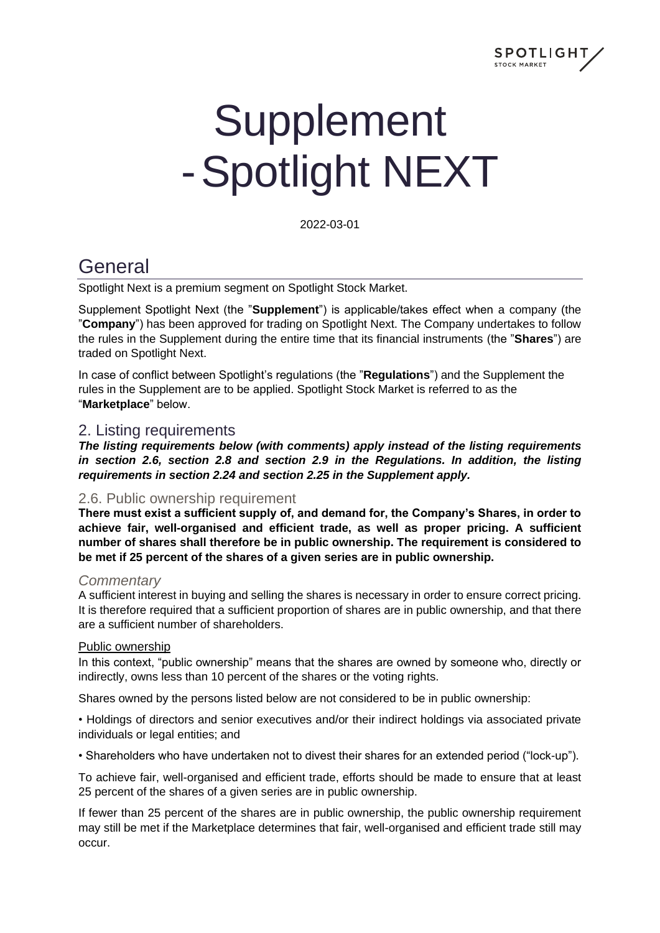

# **Supplement** -Spotlight NEXT

2022-03-01

## **General**

Spotlight Next is a premium segment on Spotlight Stock Market.

Supplement Spotlight Next (the "**Supplement**") is applicable/takes effect when a company (the "**Company**") has been approved for trading on Spotlight Next. The Company undertakes to follow the rules in the Supplement during the entire time that its financial instruments (the "**Shares**") are traded on Spotlight Next.

In case of conflict between Spotlight's regulations (the "**Regulations**") and the Supplement the rules in the Supplement are to be applied. Spotlight Stock Market is referred to as the "**Marketplace**" below.

#### 2. Listing requirements

*The listing requirements below (with comments) apply instead of the listing requirements in section 2.6, section 2.8 and section 2.9 in the Regulations. In addition, the listing requirements in section 2.24 and section 2.25 in the Supplement apply.*

#### 2.6. Public ownership requirement

**There must exist a sufficient supply of, and demand for, the Company's Shares, in order to achieve fair, well-organised and efficient trade, as well as proper pricing. A sufficient number of shares shall therefore be in public ownership. The requirement is considered to be met if 25 percent of the shares of a given series are in public ownership.**

#### *Commentary*

A sufficient interest in buying and selling the shares is necessary in order to ensure correct pricing. It is therefore required that a sufficient proportion of shares are in public ownership, and that there are a sufficient number of shareholders.

#### Public ownership

In this context, "public ownership" means that the shares are owned by someone who, directly or indirectly, owns less than 10 percent of the shares or the voting rights.

Shares owned by the persons listed below are not considered to be in public ownership:

• Holdings of directors and senior executives and/or their indirect holdings via associated private individuals or legal entities; and

• Shareholders who have undertaken not to divest their shares for an extended period ("lock-up").

To achieve fair, well-organised and efficient trade, efforts should be made to ensure that at least 25 percent of the shares of a given series are in public ownership.

If fewer than 25 percent of the shares are in public ownership, the public ownership requirement may still be met if the Marketplace determines that fair, well-organised and efficient trade still may occur.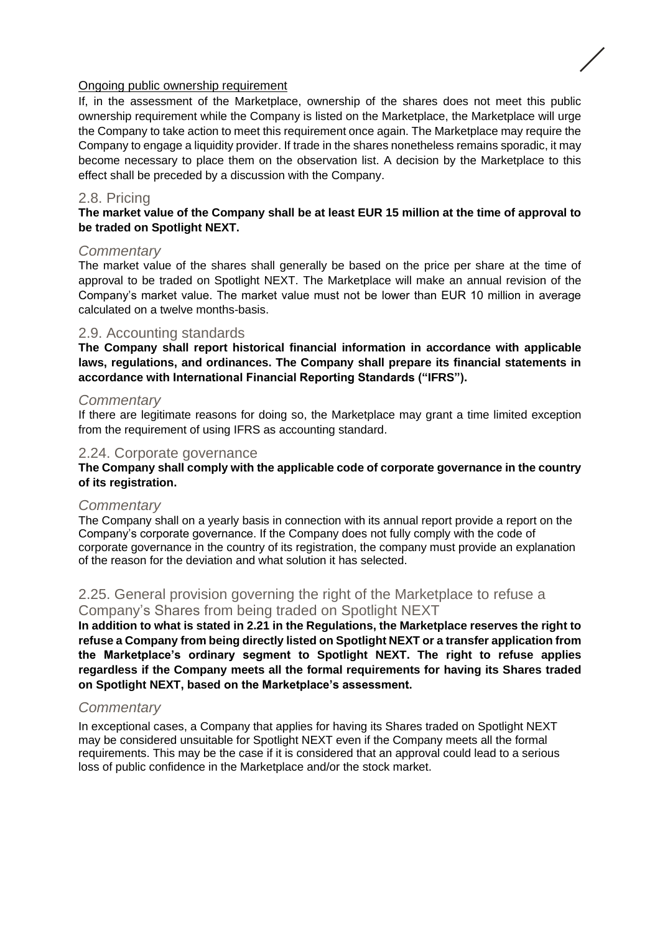#### Ongoing public ownership requirement

If, in the assessment of the Marketplace, ownership of the shares does not meet this public ownership requirement while the Company is listed on the Marketplace, the Marketplace will urge the Company to take action to meet this requirement once again. The Marketplace may require the Company to engage a liquidity provider. If trade in the shares nonetheless remains sporadic, it may become necessary to place them on the observation list. A decision by the Marketplace to this effect shall be preceded by a discussion with the Company.

#### 2.8. Pricing

#### **The market value of the Company shall be at least EUR 15 million at the time of approval to be traded on Spotlight NEXT.**

#### *Commentary*

The market value of the shares shall generally be based on the price per share at the time of approval to be traded on Spotlight NEXT. The Marketplace will make an annual revision of the Company's market value. The market value must not be lower than EUR 10 million in average calculated on a twelve months-basis.

#### 2.9. Accounting standards

**The Company shall report historical financial information in accordance with applicable laws, regulations, and ordinances. The Company shall prepare its financial statements in accordance with International Financial Reporting Standards ("IFRS").**

#### *Commentary*

If there are legitimate reasons for doing so, the Marketplace may grant a time limited exception from the requirement of using IFRS as accounting standard.

#### 2.24. Corporate governance

#### **The Company shall comply with the applicable code of corporate governance in the country of its registration.**

#### *Commentary*

The Company shall on a yearly basis in connection with its annual report provide a report on the Company's corporate governance. If the Company does not fully comply with the code of corporate governance in the country of its registration, the company must provide an explanation of the reason for the deviation and what solution it has selected.

#### 2.25. General provision governing the right of the Marketplace to refuse a Company's Shares from being traded on Spotlight NEXT

**In addition to what is stated in 2.21 in the Regulations, the Marketplace reserves the right to refuse a Company from being directly listed on Spotlight NEXT or a transfer application from the Marketplace's ordinary segment to Spotlight NEXT. The right to refuse applies regardless if the Company meets all the formal requirements for having its Shares traded on Spotlight NEXT, based on the Marketplace's assessment.** 

#### *Commentary*

In exceptional cases, a Company that applies for having its Shares traded on Spotlight NEXT may be considered unsuitable for Spotlight NEXT even if the Company meets all the formal requirements. This may be the case if it is considered that an approval could lead to a serious loss of public confidence in the Marketplace and/or the stock market.